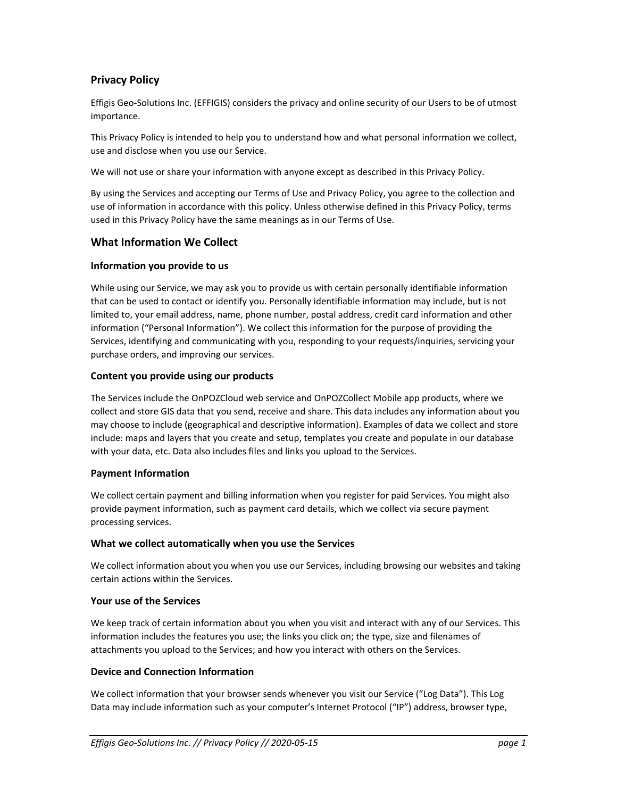# **Privacy Policy**

Effigis Geo-Solutions Inc. (EFFIGIS) considers the privacy and online security of our Users to be of utmost importance.

This Privacy Policy is intended to help you to understand how and what personal information we collect, use and disclose when you use our Service.

We will not use or share your information with anyone except as described in this Privacy Policy.

By using the Services and accepting our Terms of Use and Privacy Policy, you agree to the collection and use of information in accordance with this policy. Unless otherwise defined in this Privacy Policy, terms used in this Privacy Policy have the same meanings as in our Terms of Use.

### **What Information We Collect**

### **Information you provide to us**

While using our Service, we may ask you to provide us with certain personally identifiable information that can be used to contact or identify you. Personally identifiable information may include, but is not limited to, your email address, name, phone number, postal address, credit card information and other information ("Personal Information"). We collect this information for the purpose of providing the Services, identifying and communicating with you, responding to your requests/inquiries, servicing your purchase orders, and improving our services.

#### **Content you provide using our products**

The Services include the OnPOZCloud web service and OnPOZCollect Mobile app products, where we collect and store GIS data that you send, receive and share. This data includes any information about you may choose to include (geographical and descriptive information). Examples of data we collect and store include: maps and layers that you create and setup, templates you create and populate in our database with your data, etc. Data also includes files and links you upload to the Services.

### **Payment Information**

We collect certain payment and billing information when you register for paid Services. You might also provide payment information, such as payment card details, which we collect via secure payment processing services.

### **What we collect automatically when you use the Services**

We collect information about you when you use our Services, including browsing our websites and taking certain actions within the Services.

### **Your use of the Services**

We keep track of certain information about you when you visit and interact with any of our Services. This information includes the features you use; the links you click on; the type, size and filenames of attachments you upload to the Services; and how you interact with others on the Services.

#### **Device and Connection Information**

We collect information that your browser sends whenever you visit our Service ("Log Data"). This Log Data may include information such as your computer's Internet Protocol ("IP") address, browser type,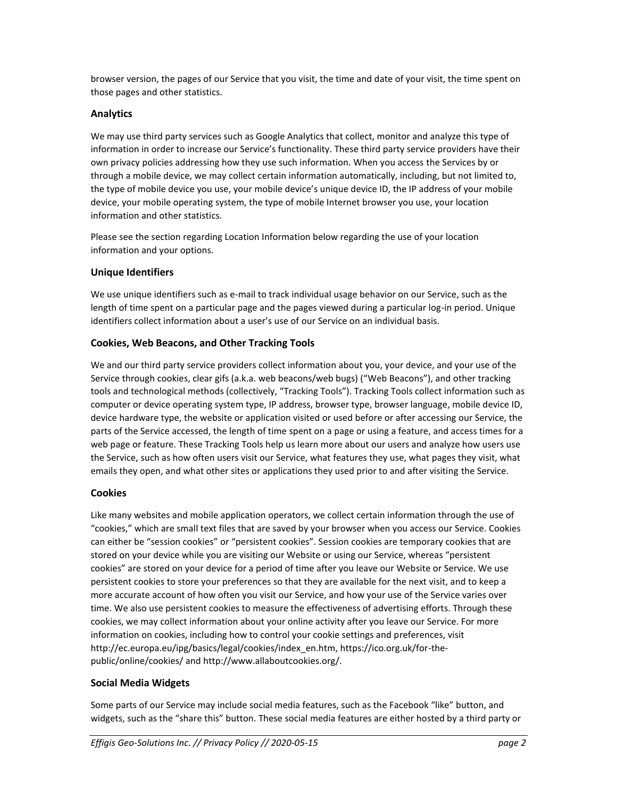browser version, the pages of our Service that you visit, the time and date of your visit, the time spent on those pages and other statistics.

# **Analytics**

We may use third party services such as Google Analytics that collect, monitor and analyze this type of information in order to increase our Service's functionality. These third party service providers have their own privacy policies addressing how they use such information. When you access the Services by or through a mobile device, we may collect certain information automatically, including, but not limited to, the type of mobile device you use, your mobile device's unique device ID, the IP address of your mobile device, your mobile operating system, the type of mobile Internet browser you use, your location information and other statistics.

Please see the section regarding Location Information below regarding the use of your location information and your options.

# **Unique Identifiers**

We use unique identifiers such as e-mail to track individual usage behavior on our Service, such as the length of time spent on a particular page and the pages viewed during a particular log-in period. Unique identifiers collect information about a user's use of our Service on an individual basis.

# **Cookies, Web Beacons, and Other Tracking Tools**

We and our third party service providers collect information about you, your device, and your use of the Service through cookies, clear gifs (a.k.a. web beacons/web bugs) ("Web Beacons"), and other tracking tools and technological methods (collectively, "Tracking Tools"). Tracking Tools collect information such as computer or device operating system type, IP address, browser type, browser language, mobile device ID, device hardware type, the website or application visited or used before or after accessing our Service, the parts of the Service accessed, the length of time spent on a page or using a feature, and access times for a web page or feature. These Tracking Tools help us learn more about our users and analyze how users use the Service, such as how often users visit our Service, what features they use, what pages they visit, what emails they open, and what other sites or applications they used prior to and after visiting the Service.

### **Cookies**

Like many websites and mobile application operators, we collect certain information through the use of "cookies," which are small text files that are saved by your browser when you access our Service. Cookies can either be "session cookies" or "persistent cookies". Session cookies are temporary cookies that are stored on your device while you are visiting our Website or using our Service, whereas "persistent cookies" are stored on your device for a period of time after you leave our Website or Service. We use persistent cookies to store your preferences so that they are available for the next visit, and to keep a more accurate account of how often you visit our Service, and how your use of the Service varies over time. We also use persistent cookies to measure the effectiveness of advertising efforts. Through these cookies, we may collect information about your online activity after you leave our Service. For more information on cookies, including how to control your cookie settings and preferences, visit http://ec.europa.eu/ipg/basics/legal/cookies/index\_en.htm, https://ico.org.uk/for-thepublic/online/cookies/ and http://www.allaboutcookies.org/.

### **Social Media Widgets**

Some parts of our Service may include social media features, such as the Facebook "like" button, and widgets, such as the "share this" button. These social media features are either hosted by a third party or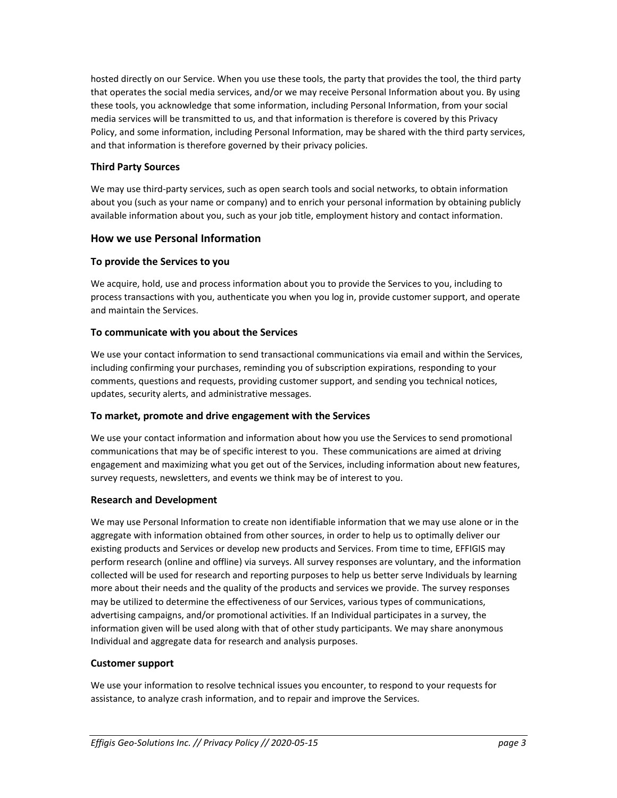hosted directly on our Service. When you use these tools, the party that provides the tool, the third party that operates the social media services, and/or we may receive Personal Information about you. By using these tools, you acknowledge that some information, including Personal Information, from your social media services will be transmitted to us, and that information is therefore is covered by this Privacy Policy, and some information, including Personal Information, may be shared with the third party services, and that information is therefore governed by their privacy policies.

### **Third Party Sources**

We may use third-party services, such as open search tools and social networks, to obtain information about you (such as your name or company) and to enrich your personal information by obtaining publicly available information about you, such as your job title, employment history and contact information.

# **How we use Personal Information**

### **To provide the Services to you**

We acquire, hold, use and process information about you to provide the Services to you, including to process transactions with you, authenticate you when you log in, provide customer support, and operate and maintain the Services.

### **To communicate with you about the Services**

We use your contact information to send transactional communications via email and within the Services, including confirming your purchases, reminding you of subscription expirations, responding to your comments, questions and requests, providing customer support, and sending you technical notices, updates, security alerts, and administrative messages.

### **To market, promote and drive engagement with the Services**

We use your contact information and information about how you use the Services to send promotional communications that may be of specific interest to you. These communications are aimed at driving engagement and maximizing what you get out of the Services, including information about new features, survey requests, newsletters, and events we think may be of interest to you.

#### **Research and Development**

We may use Personal Information to create non identifiable information that we may use alone or in the aggregate with information obtained from other sources, in order to help us to optimally deliver our existing products and Services or develop new products and Services. From time to time, EFFIGIS may perform research (online and offline) via surveys. All survey responses are voluntary, and the information collected will be used for research and reporting purposes to help us better serve Individuals by learning more about their needs and the quality of the products and services we provide. The survey responses may be utilized to determine the effectiveness of our Services, various types of communications, advertising campaigns, and/or promotional activities. If an Individual participates in a survey, the information given will be used along with that of other study participants. We may share anonymous Individual and aggregate data for research and analysis purposes.

### **Customer support**

We use your information to resolve technical issues you encounter, to respond to your requests for assistance, to analyze crash information, and to repair and improve the Services.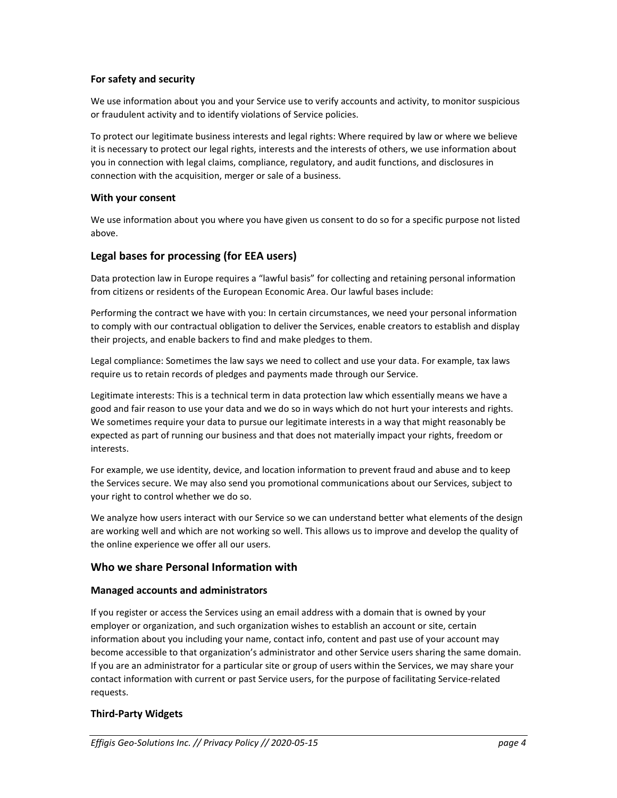#### **For safety and security**

We use information about you and your Service use to verify accounts and activity, to monitor suspicious or fraudulent activity and to identify violations of Service policies.

To protect our legitimate business interests and legal rights: Where required by law or where we believe it is necessary to protect our legal rights, interests and the interests of others, we use information about you in connection with legal claims, compliance, regulatory, and audit functions, and disclosures in connection with the acquisition, merger or sale of a business.

#### **With your consent**

We use information about you where you have given us consent to do so for a specific purpose not listed above.

# **Legal bases for processing (for EEA users)**

Data protection law in Europe requires a "lawful basis" for collecting and retaining personal information from citizens or residents of the European Economic Area. Our lawful bases include:

Performing the contract we have with you: In certain circumstances, we need your personal information to comply with our contractual obligation to deliver the Services, enable creators to establish and display their projects, and enable backers to find and make pledges to them.

Legal compliance: Sometimes the law says we need to collect and use your data. For example, tax laws require us to retain records of pledges and payments made through our Service.

Legitimate interests: This is a technical term in data protection law which essentially means we have a good and fair reason to use your data and we do so in ways which do not hurt your interests and rights. We sometimes require your data to pursue our legitimate interests in a way that might reasonably be expected as part of running our business and that does not materially impact your rights, freedom or interests.

For example, we use identity, device, and location information to prevent fraud and abuse and to keep the Services secure. We may also send you promotional communications about our Services, subject to your right to control whether we do so.

We analyze how users interact with our Service so we can understand better what elements of the design are working well and which are not working so well. This allows us to improve and develop the quality of the online experience we offer all our users.

#### **Who we share Personal Information with**

#### **Managed accounts and administrators**

If you register or access the Services using an email address with a domain that is owned by your employer or organization, and such organization wishes to establish an account or site, certain information about you including your name, contact info, content and past use of your account may become accessible to that organization's administrator and other Service users sharing the same domain. If you are an administrator for a particular site or group of users within the Services, we may share your contact information with current or past Service users, for the purpose of facilitating Service-related requests.

### **Third-Party Widgets**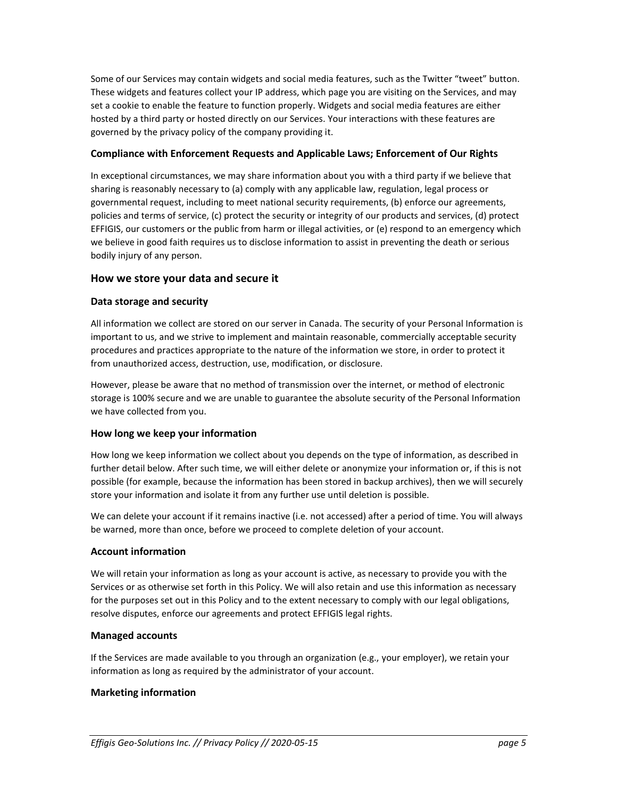Some of our Services may contain widgets and social media features, such as the Twitter "tweet" button. These widgets and features collect your IP address, which page you are visiting on the Services, and may set a cookie to enable the feature to function properly. Widgets and social media features are either hosted by a third party or hosted directly on our Services. Your interactions with these features are governed by the privacy policy of the company providing it.

### **Compliance with Enforcement Requests and Applicable Laws; Enforcement of Our Rights**

In exceptional circumstances, we may share information about you with a third party if we believe that sharing is reasonably necessary to (a) comply with any applicable law, regulation, legal process or governmental request, including to meet national security requirements, (b) enforce our agreements, policies and terms of service, (c) protect the security or integrity of our products and services, (d) protect EFFIGIS, our customers or the public from harm or illegal activities, or (e) respond to an emergency which we believe in good faith requires us to disclose information to assist in preventing the death or serious bodily injury of any person.

# **How we store your data and secure it**

### **Data storage and security**

All information we collect are stored on our server in Canada. The security of your Personal Information is important to us, and we strive to implement and maintain reasonable, commercially acceptable security procedures and practices appropriate to the nature of the information we store, in order to protect it from unauthorized access, destruction, use, modification, or disclosure.

However, please be aware that no method of transmission over the internet, or method of electronic storage is 100% secure and we are unable to guarantee the absolute security of the Personal Information we have collected from you.

### **How long we keep your information**

How long we keep information we collect about you depends on the type of information, as described in further detail below. After such time, we will either delete or anonymize your information or, if this is not possible (for example, because the information has been stored in backup archives), then we will securely store your information and isolate it from any further use until deletion is possible.

We can delete your account if it remains inactive (i.e. not accessed) after a period of time. You will always be warned, more than once, before we proceed to complete deletion of your account.

### **Account information**

We will retain your information as long as your account is active, as necessary to provide you with the Services or as otherwise set forth in this Policy. We will also retain and use this information as necessary for the purposes set out in this Policy and to the extent necessary to comply with our legal obligations, resolve disputes, enforce our agreements and protect EFFIGIS legal rights.

### **Managed accounts**

If the Services are made available to you through an organization (e.g., your employer), we retain your information as long as required by the administrator of your account.

### **Marketing information**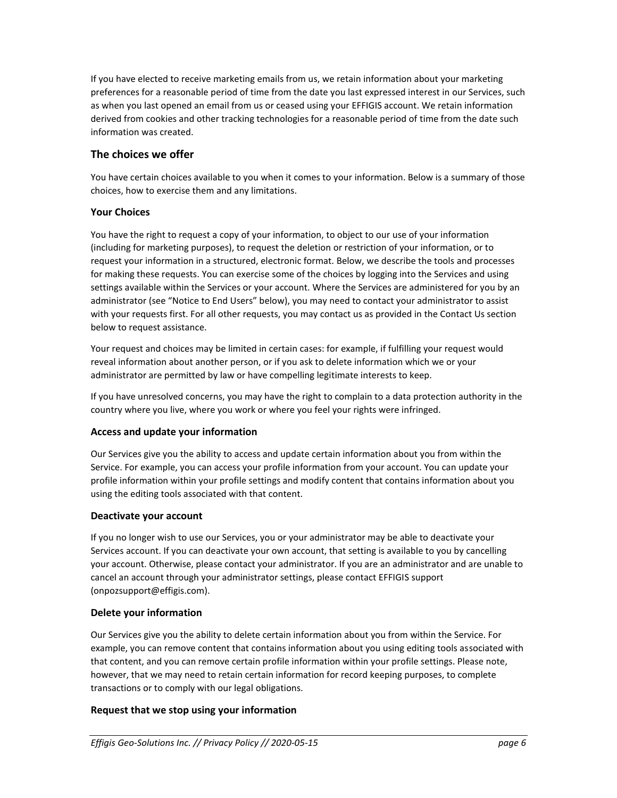If you have elected to receive marketing emails from us, we retain information about your marketing preferences for a reasonable period of time from the date you last expressed interest in our Services, such as when you last opened an email from us or ceased using your EFFIGIS account. We retain information derived from cookies and other tracking technologies for a reasonable period of time from the date such information was created.

# **The choices we offer**

You have certain choices available to you when it comes to your information. Below is a summary of those choices, how to exercise them and any limitations.

# **Your Choices**

You have the right to request a copy of your information, to object to our use of your information (including for marketing purposes), to request the deletion or restriction of your information, or to request your information in a structured, electronic format. Below, we describe the tools and processes for making these requests. You can exercise some of the choices by logging into the Services and using settings available within the Services or your account. Where the Services are administered for you by an administrator (see "Notice to End Users" below), you may need to contact your administrator to assist with your requests first. For all other requests, you may contact us as provided in the Contact Us section below to request assistance.

Your request and choices may be limited in certain cases: for example, if fulfilling your request would reveal information about another person, or if you ask to delete information which we or your administrator are permitted by law or have compelling legitimate interests to keep.

If you have unresolved concerns, you may have the right to complain to a data protection authority in the country where you live, where you work or where you feel your rights were infringed.

### **Access and update your information**

Our Services give you the ability to access and update certain information about you from within the Service. For example, you can access your profile information from your account. You can update your profile information within your profile settings and modify content that contains information about you using the editing tools associated with that content.

### **Deactivate your account**

If you no longer wish to use our Services, you or your administrator may be able to deactivate your Services account. If you can deactivate your own account, that setting is available to you by cancelling your account. Otherwise, please contact your administrator. If you are an administrator and are unable to cancel an account through your administrator settings, please contact EFFIGIS support (onpozsupport@effigis.com).

### **Delete your information**

Our Services give you the ability to delete certain information about you from within the Service. For example, you can remove content that contains information about you using editing tools associated with that content, and you can remove certain profile information within your profile settings. Please note, however, that we may need to retain certain information for record keeping purposes, to complete transactions or to comply with our legal obligations.

# **Request that we stop using your information**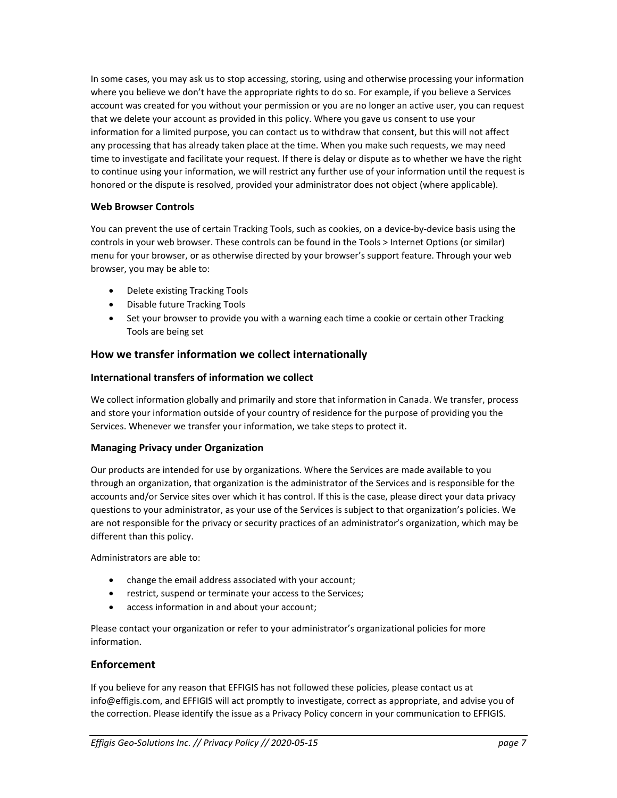In some cases, you may ask us to stop accessing, storing, using and otherwise processing your information where you believe we don't have the appropriate rights to do so. For example, if you believe a Services account was created for you without your permission or you are no longer an active user, you can request that we delete your account as provided in this policy. Where you gave us consent to use your information for a limited purpose, you can contact us to withdraw that consent, but this will not affect any processing that has already taken place at the time. When you make such requests, we may need time to investigate and facilitate your request. If there is delay or dispute as to whether we have the right to continue using your information, we will restrict any further use of your information until the request is honored or the dispute is resolved, provided your administrator does not object (where applicable).

# **Web Browser Controls**

You can prevent the use of certain Tracking Tools, such as cookies, on a device-by-device basis using the controls in your web browser. These controls can be found in the Tools > Internet Options (or similar) menu for your browser, or as otherwise directed by your browser's support feature. Through your web browser, you may be able to:

- Delete existing Tracking Tools
- Disable future Tracking Tools
- Set your browser to provide you with a warning each time a cookie or certain other Tracking Tools are being set

# **How we transfer information we collect internationally**

### **International transfers of information we collect**

We collect information globally and primarily and store that information in Canada. We transfer, process and store your information outside of your country of residence for the purpose of providing you the Services. Whenever we transfer your information, we take steps to protect it.

### **Managing Privacy under Organization**

Our products are intended for use by organizations. Where the Services are made available to you through an organization, that organization is the administrator of the Services and is responsible for the accounts and/or Service sites over which it has control. If this is the case, please direct your data privacy questions to your administrator, as your use of the Services is subject to that organization's policies. We are not responsible for the privacy or security practices of an administrator's organization, which may be different than this policy.

Administrators are able to:

- change the email address associated with your account;
- restrict, suspend or terminate your access to the Services;
- access information in and about your account;

Please contact your organization or refer to your administrator's organizational policies for more information.

### **Enforcement**

If you believe for any reason that EFFIGIS has not followed these policies, please contact us at info@effigis.com, and EFFIGIS will act promptly to investigate, correct as appropriate, and advise you of the correction. Please identify the issue as a Privacy Policy concern in your communication to EFFIGIS.